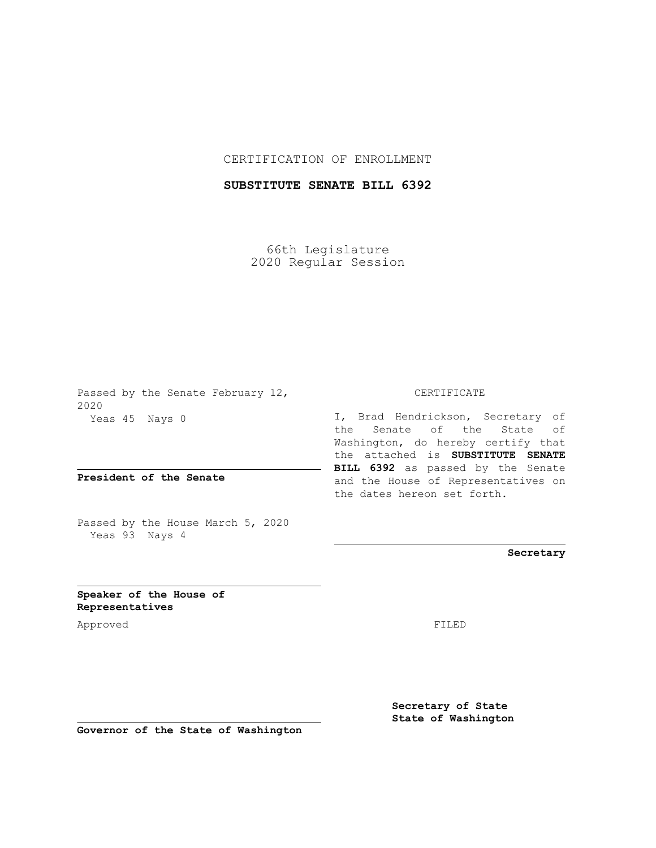## CERTIFICATION OF ENROLLMENT

## **SUBSTITUTE SENATE BILL 6392**

66th Legislature 2020 Regular Session

Passed by the Senate February 12, 2020 Yeas 45 Nays 0

**President of the Senate**

Passed by the House March 5, 2020 Yeas 93 Nays 4

## CERTIFICATE

I, Brad Hendrickson, Secretary of the Senate of the State of Washington, do hereby certify that the attached is **SUBSTITUTE SENATE BILL 6392** as passed by the Senate and the House of Representatives on the dates hereon set forth.

**Secretary**

**Speaker of the House of Representatives**

Approved FILED

**Secretary of State State of Washington**

**Governor of the State of Washington**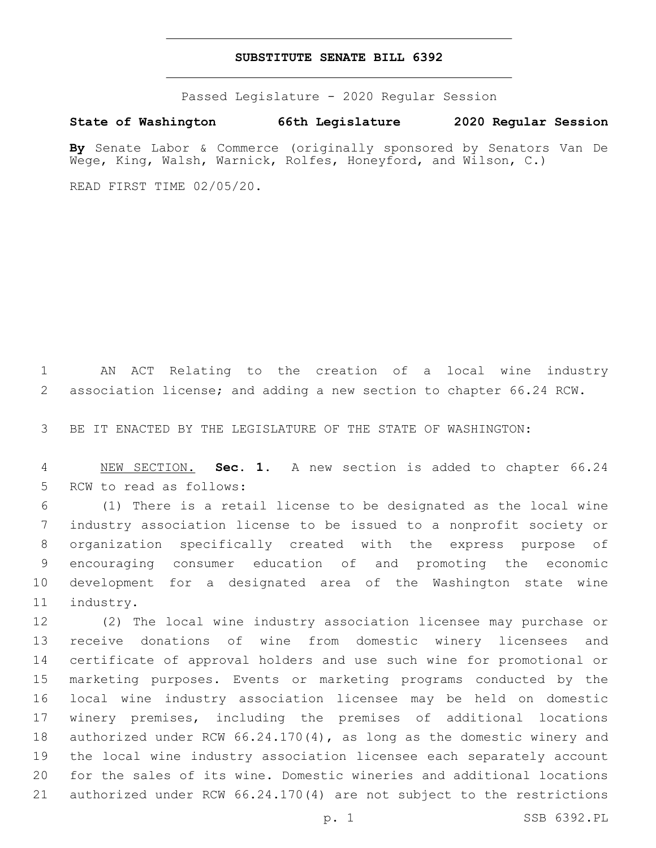## **SUBSTITUTE SENATE BILL 6392**

Passed Legislature - 2020 Regular Session

**State of Washington 66th Legislature 2020 Regular Session**

**By** Senate Labor & Commerce (originally sponsored by Senators Van De Wege, King, Walsh, Warnick, Rolfes, Honeyford, and Wilson, C.)

READ FIRST TIME 02/05/20.

 AN ACT Relating to the creation of a local wine industry association license; and adding a new section to chapter 66.24 RCW.

BE IT ENACTED BY THE LEGISLATURE OF THE STATE OF WASHINGTON:

 NEW SECTION. **Sec. 1.** A new section is added to chapter 66.24 5 RCW to read as follows:

 (1) There is a retail license to be designated as the local wine industry association license to be issued to a nonprofit society or organization specifically created with the express purpose of encouraging consumer education of and promoting the economic development for a designated area of the Washington state wine 11 industry.

 (2) The local wine industry association licensee may purchase or receive donations of wine from domestic winery licensees and certificate of approval holders and use such wine for promotional or marketing purposes. Events or marketing programs conducted by the local wine industry association licensee may be held on domestic winery premises, including the premises of additional locations authorized under RCW 66.24.170(4), as long as the domestic winery and the local wine industry association licensee each separately account for the sales of its wine. Domestic wineries and additional locations authorized under RCW 66.24.170(4) are not subject to the restrictions